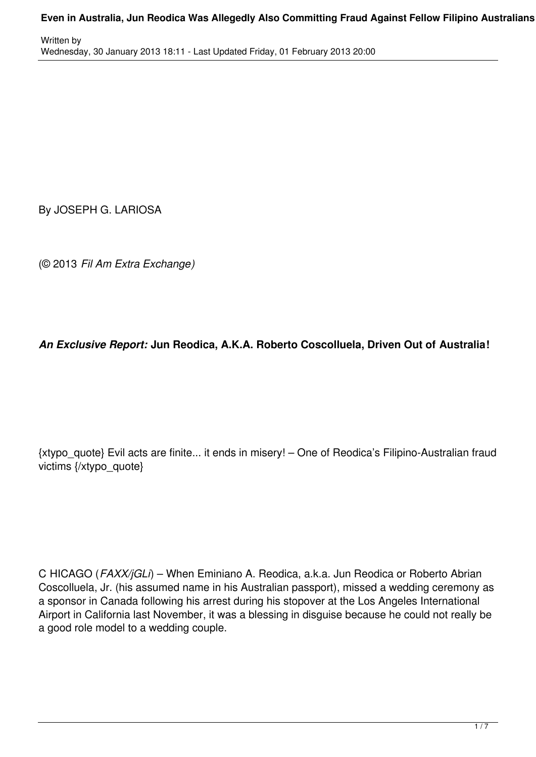By JOSEPH G. LARIOSA

(© 2013 *Fil Am Extra Exchange)*

# *An Exclusive Report:* **Jun Reodica, A.K.A. Roberto Coscolluela, Driven Out of Australia!**

{xtypo\_quote} Evil acts are finite... it ends in misery! – One of Reodica's Filipino-Australian fraud victims {/xtypo\_quote}

C HICAGO (*FAXX/jGLi*) – When Eminiano A. Reodica, a.k.a. Jun Reodica or Roberto Abrian Coscolluela, Jr. (his assumed name in his Australian passport), missed a wedding ceremony as a sponsor in Canada following his arrest during his stopover at the Los Angeles International Airport in California last November, it was a blessing in disguise because he could not really be a good role model to a wedding couple.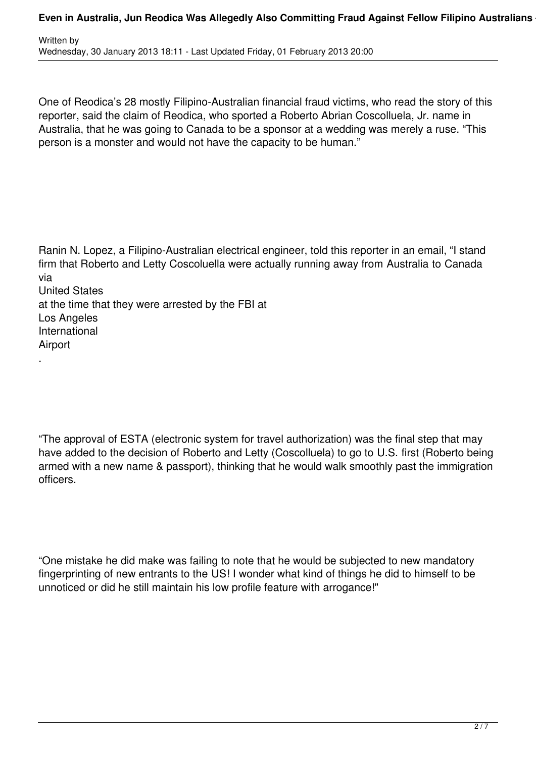#### **Even in Australia, Jun Reodica Was Allegedly Also Committing Fraud Against Fellow Filipino Australians**

| Written by                                                                     |  |
|--------------------------------------------------------------------------------|--|
| Wednesday, 30 January 2013 18:11 - Last Updated Friday, 01 February 2013 20:00 |  |

Airport

.

One of Reodica's 28 mostly Filipino-Australian financial fraud victims, who read the story of this reporter, said the claim of Reodica, who sported a Roberto Abrian Coscolluela, Jr. name in Australia, that he was going to Canada to be a sponsor at a wedding was merely a ruse. "This person is a monster and would not have the capacity to be human."

Ranin N. Lopez, a Filipino-Australian electrical engineer, told this reporter in an email, "I stand firm that Roberto and Letty Coscoluella were actually running away from Australia to Canada via United States at the time that they were arrested by the FBI at Los Angeles International

"The approval of ESTA (electronic system for travel authorization) was the final step that may have added to the decision of Roberto and Letty (Coscolluela) to go to U.S. first (Roberto being armed with a new name & passport), thinking that he would walk smoothly past the immigration officers.

"One mistake he did make was failing to note that he would be subjected to new mandatory fingerprinting of new entrants to the US! I wonder what kind of things he did to himself to be unnoticed or did he still maintain his low profile feature with arrogance!"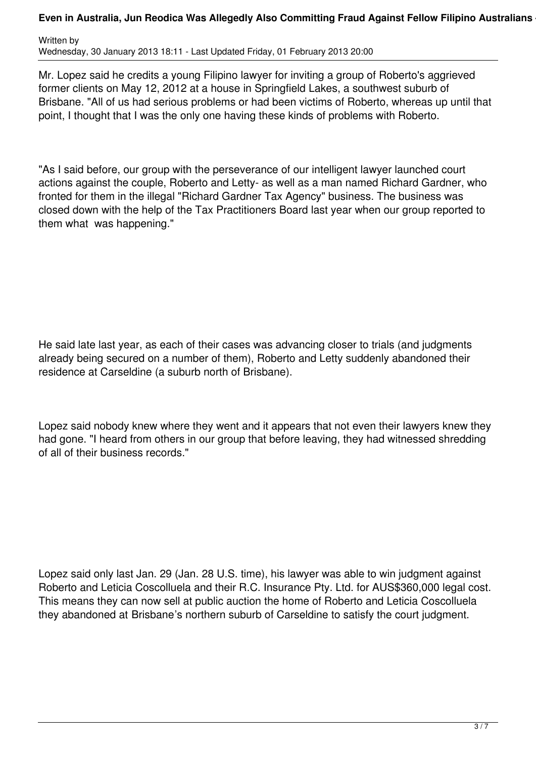#### **Even in Australia, Jun Reodica Was Allegedly Also Committing Fraud Against Fellow Filipino Australians**

Written by Wednesday, 30 January 2013 18:11 - Last Updated Friday, 01 February 2013 20:00

Mr. Lopez said he credits a young Filipino lawyer for inviting a group of Roberto's aggrieved former clients on May 12, 2012 at a house in Springfield Lakes, a southwest suburb of Brisbane. "All of us had serious problems or had been victims of Roberto, whereas up until that point, I thought that I was the only one having these kinds of problems with Roberto.

"As I said before, our group with the perseverance of our intelligent lawyer launched court actions against the couple, Roberto and Letty- as well as a man named Richard Gardner, who fronted for them in the illegal "Richard Gardner Tax Agency" business. The business was closed down with the help of the Tax Practitioners Board last year when our group reported to them what was happening."

He said late last year, as each of their cases was advancing closer to trials (and judgments already being secured on a number of them), Roberto and Letty suddenly abandoned their residence at Carseldine (a suburb north of Brisbane).

Lopez said nobody knew where they went and it appears that not even their lawyers knew they had gone. "I heard from others in our group that before leaving, they had witnessed shredding of all of their business records."

Lopez said only last Jan. 29 (Jan. 28 U.S. time), his lawyer was able to win judgment against Roberto and Leticia Coscolluela and their R.C. Insurance Pty. Ltd. for AUS\$360,000 legal cost. This means they can now sell at public auction the home of Roberto and Leticia Coscolluela they abandoned at Brisbane's northern suburb of Carseldine to satisfy the court judgment.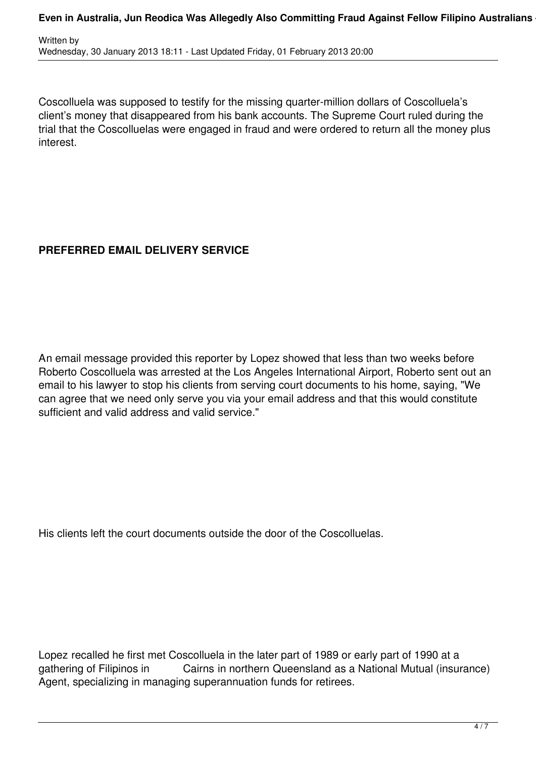Coscolluela was supposed to testify for the missing quarter-million dollars of Coscolluela's client's money that disappeared from his bank accounts. The Supreme Court ruled during the trial that the Coscolluelas were engaged in fraud and were ordered to return all the money plus interest.

# **PREFERRED EMAIL DELIVERY SERVICE**

An email message provided this reporter by Lopez showed that less than two weeks before Roberto Coscolluela was arrested at the Los Angeles International Airport, Roberto sent out an email to his lawyer to stop his clients from serving court documents to his home, saying, "We can agree that we need only serve you via your email address and that this would constitute sufficient and valid address and valid service."

His clients left the court documents outside the door of the Coscolluelas.

Lopez recalled he first met Coscolluela in the later part of 1989 or early part of 1990 at a gathering of Filipinos in Cairns in northern Queensland as a National Mutual (insur Cairns in northern Queensland as a National Mutual (insurance) Agent, specializing in managing superannuation funds for retirees.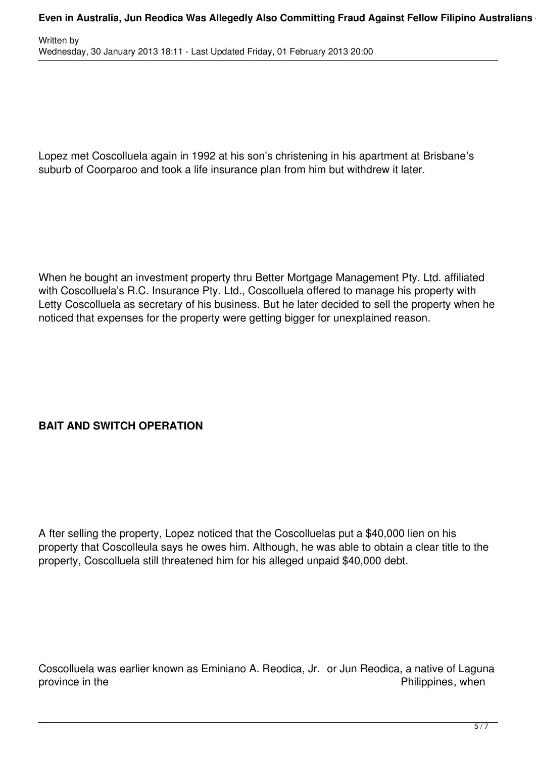Lopez met Coscolluela again in 1992 at his son's christening in his apartment at Brisbane's suburb of Coorparoo and took a life insurance plan from him but withdrew it later.

When he bought an investment property thru Better Mortgage Management Pty. Ltd. affiliated with Coscolluela's R.C. Insurance Pty. Ltd., Coscolluela offered to manage his property with Letty Coscolluela as secretary of his business. But he later decided to sell the property when he noticed that expenses for the property were getting bigger for unexplained reason.

# **BAIT AND SWITCH OPERATION**

A fter selling the property, Lopez noticed that the Coscolluelas put a \$40,000 lien on his property that Coscolleula says he owes him. Although, he was able to obtain a clear title to the property, Coscolluela still threatened him for his alleged unpaid \$40,000 debt.

Coscolluela was earlier known as Eminiano A. Reodica, Jr. or Jun Reodica, a native of Laguna province in the **Philippines**, when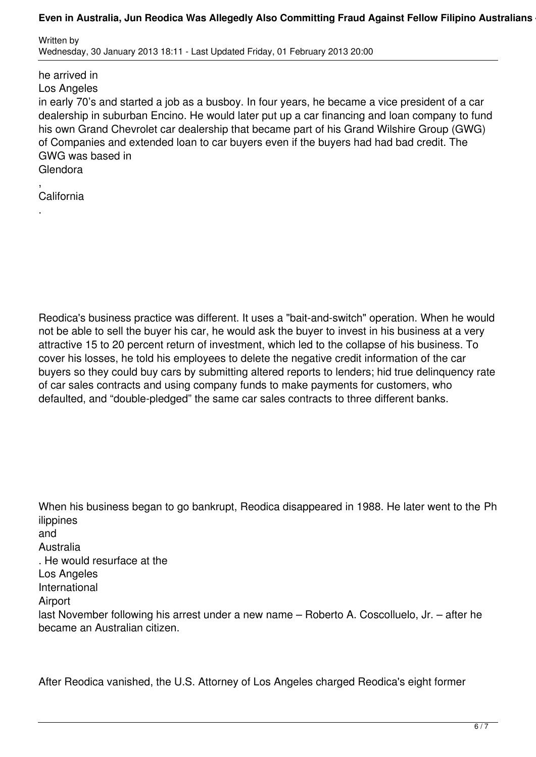#### **Even in Australia, Jun Reodica Was Allegedly Also Committing Fraud Against Fellow Filipino Australians**

Written by Wednesday, 30 January 2013 18:11 - Last Updated Friday, 01 February 2013 20:00

he arrived in Los Angeles in early 70's and started a job as a busboy. In four years, he became a vice president of a car dealership in suburban Encino. He would later put up a car financing and loan company to fund his own Grand Chevrolet car dealership that became part of his Grand Wilshire Group (GWG) of Companies and extended loan to car buyers even if the buyers had had bad credit. The GWG was based in Glendora

, California

.

Reodica's business practice was different. It uses a "bait-and-switch" operation. When he would not be able to sell the buyer his car, he would ask the buyer to invest in his business at a very attractive 15 to 20 percent return of investment, which led to the collapse of his business. To cover his losses, he told his employees to delete the negative credit information of the car buyers so they could buy cars by submitting altered reports to lenders; hid true delinquency rate of car sales contracts and using company funds to make payments for customers, who defaulted, and "double-pledged" the same car sales contracts to three different banks.

When his business began to go bankrupt, Reodica disappeared in 1988. He later went to the Ph ilippines and Australia . He would resurface at the Los Angeles International Airport last November following his arrest under a new name – Roberto A. Coscolluelo, Jr. – after he became an Australian citizen.

After Reodica vanished, the U.S. Attorney of Los Angeles charged Reodica's eight former